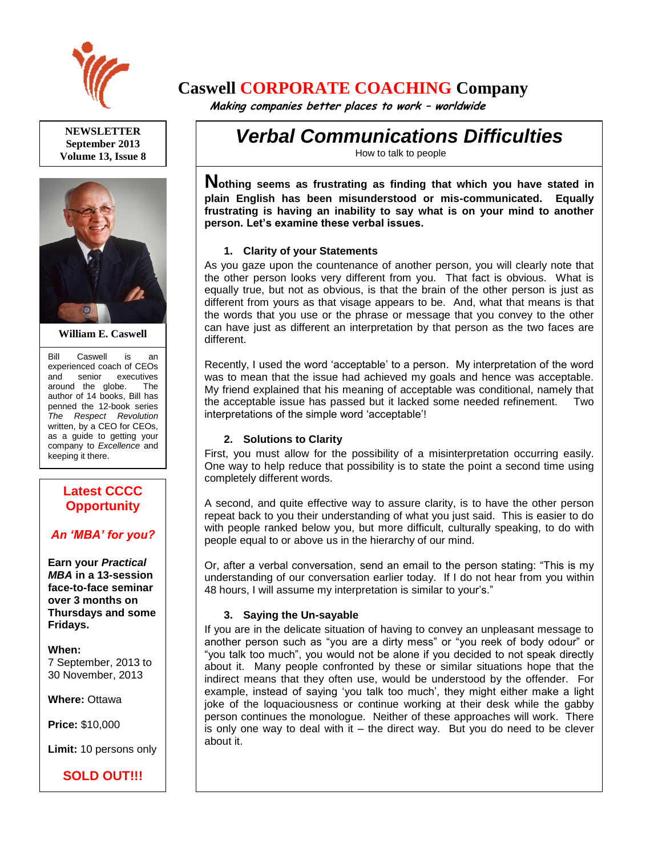

**NEWSLETTER September 2013 Volume 13, Issue 8**



**William E. Caswell**

Bill Caswell is an experienced coach of CEOs and senior executives around the globe. The author of 14 books, Bill has penned the 12-book series *The Respect Revolution* written, by a CEO for CEOs, as a guide to getting your company to *Excellence* and keeping it there.

# **Latest CCCC Opportunity**

# *An 'MBA' for you?*

**Earn your** *Practical MBA* **in a 13-session face-to-face seminar over 3 months on Thursdays and some Fridays.**

**When:**  7 September, 2013 to 30 November, 2013

**Where:** Ottawa

**Price:** \$10,000

**Limit:** 10 persons only

# **SOLD OUT!!!**

# **Caswell CORPORATE COACHING Company**

 **Making companies better places to work – worldwide**

*Verbal Communications Difficulties*

How to talk to people

**Nothing seems as frustrating as finding that which you have stated in plain English has been misunderstood or mis-communicated. Equally frustrating is having an inability to say what is on your mind to another person. Let's examine these verbal issues.**

## **1. Clarity of your Statements**

As you gaze upon the countenance of another person, you will clearly note that the other person looks very different from you. That fact is obvious. What is equally true, but not as obvious, is that the brain of the other person is just as different from yours as that visage appears to be. And, what that means is that the words that you use or the phrase or message that you convey to the other can have just as different an interpretation by that person as the two faces are different.

Recently, I used the word 'acceptable' to a person. My interpretation of the word was to mean that the issue had achieved my goals and hence was acceptable. My friend explained that his meaning of acceptable was conditional, namely that the acceptable issue has passed but it lacked some needed refinement. Two interpretations of the simple word 'acceptable'!

## **2. Solutions to Clarity**

First, you must allow for the possibility of a misinterpretation occurring easily. One way to help reduce that possibility is to state the point a second time using completely different words.

A second, and quite effective way to assure clarity, is to have the other person repeat back to you their understanding of what you just said. This is easier to do with people ranked below you, but more difficult, culturally speaking, to do with people equal to or above us in the hierarchy of our mind.

Or, after a verbal conversation, send an email to the person stating: "This is my understanding of our conversation earlier today. If I do not hear from you within 48 hours, I will assume my interpretation is similar to your's."

## **3. Saying the Un-sayable**

If you are in the delicate situation of having to convey an unpleasant message to another person such as "you are a dirty mess" or "you reek of body odour" or "you talk too much", you would not be alone if you decided to not speak directly about it. Many people confronted by these or similar situations hope that the indirect means that they often use, would be understood by the offender. For example, instead of saying 'you talk too much', they might either make a light joke of the loquaciousness or continue working at their desk while the gabby person continues the monologue. Neither of these approaches will work. There is only one way to deal with it  $-$  the direct way. But you do need to be clever about it.